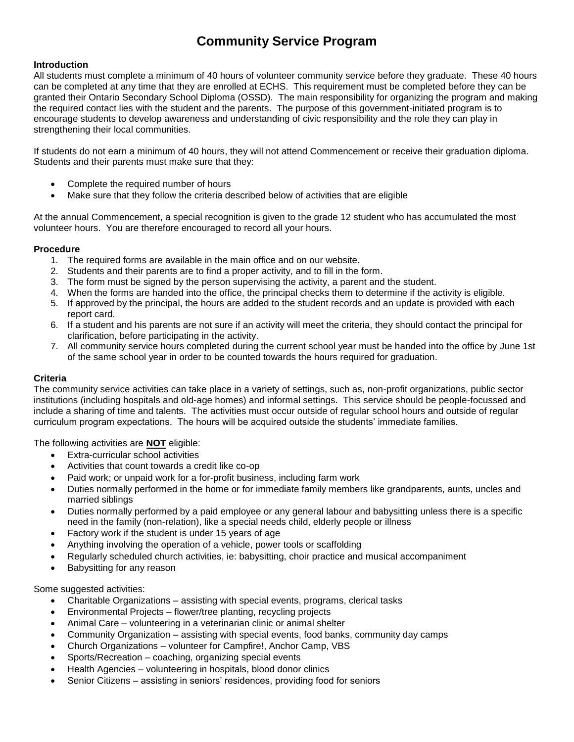## **Community Service Program**

#### **Introduction**

All students must complete a minimum of 40 hours of volunteer community service before they graduate. These 40 hours can be completed at any time that they are enrolled at ECHS. This requirement must be completed before they can be granted their Ontario Secondary School Diploma (OSSD). The main responsibility for organizing the program and making the required contact lies with the student and the parents. The purpose of this government-initiated program is to encourage students to develop awareness and understanding of civic responsibility and the role they can play in strengthening their local communities.

If students do not earn a minimum of 40 hours, they will not attend Commencement or receive their graduation diploma. Students and their parents must make sure that they:

- Complete the required number of hours
- Make sure that they follow the criteria described below of activities that are eligible

At the annual Commencement, a special recognition is given to the grade 12 student who has accumulated the most volunteer hours. You are therefore encouraged to record all your hours.

#### **Procedure**

- 1. The required forms are available in the main office and on our website.
- 2. Students and their parents are to find a proper activity, and to fill in the form.
- 3. The form must be signed by the person supervising the activity, a parent and the student.
- 4. When the forms are handed into the office, the principal checks them to determine if the activity is eligible.
- 5. If approved by the principal, the hours are added to the student records and an update is provided with each report card.
- 6. If a student and his parents are not sure if an activity will meet the criteria, they should contact the principal for clarification, before participating in the activity.
- 7. All community service hours completed during the current school year must be handed into the office by June 1st of the same school year in order to be counted towards the hours required for graduation.

### **Criteria**

The community service activities can take place in a variety of settings, such as, non-profit organizations, public sector institutions (including hospitals and old-age homes) and informal settings. This service should be people-focussed and include a sharing of time and talents. The activities must occur outside of regular school hours and outside of regular curriculum program expectations. The hours will be acquired outside the students' immediate families.

The following activities are **NOT** eligible:

- Extra-curricular school activities
- Activities that count towards a credit like co-op
- Paid work; or unpaid work for a for-profit business, including farm work
- Duties normally performed in the home or for immediate family members like grandparents, aunts, uncles and married siblings
- Duties normally performed by a paid employee or any general labour and babysitting unless there is a specific need in the family (non-relation), like a special needs child, elderly people or illness
- Factory work if the student is under 15 years of age
- Anything involving the operation of a vehicle, power tools or scaffolding
- Regularly scheduled church activities, ie: babysitting, choir practice and musical accompaniment
- Babysitting for any reason

Some suggested activities:

- Charitable Organizations assisting with special events, programs, clerical tasks
- Environmental Projects flower/tree planting, recycling projects
- Animal Care volunteering in a veterinarian clinic or animal shelter
- Community Organization assisting with special events, food banks, community day camps
- Church Organizations volunteer for Campfire!, Anchor Camp, VBS
- Sports/Recreation coaching, organizing special events
- Health Agencies volunteering in hospitals, blood donor clinics
- Senior Citizens assisting in seniors' residences, providing food for seniors